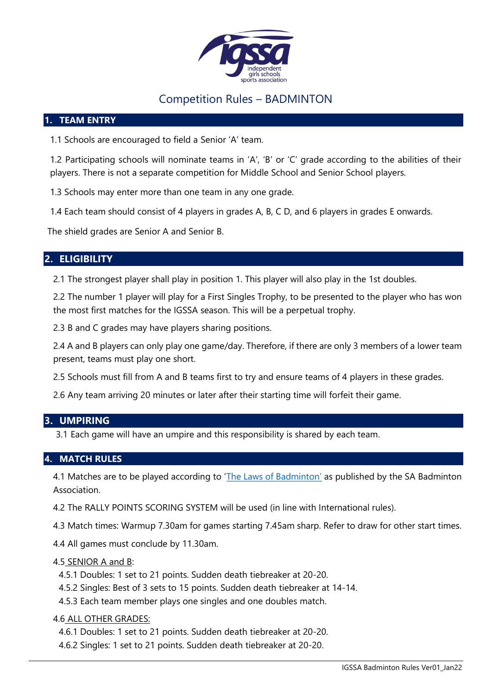

# Competition Rules – BADMINTON

#### **1. TEAM ENTRY**

1.1 Schools are encouraged to field a Senior 'A' team.

1.2 Participating schools will nominate teams in 'A', 'B' or 'C' grade according to the abilities of their players. There is not a separate competition for Middle School and Senior School players.

1.3 Schools may enter more than one team in any one grade.

1.4 Each team should consist of 4 players in grades A, B, C D, and 6 players in grades E onwards.

The shield grades are Senior A and Senior B.

# **2. ELIGIBILITY**

2.1 The strongest player shall play in position 1. This player will also play in the 1st doubles.

2.2 The number 1 player will play for a First Singles Trophy, to be presented to the player who has won the most first matches for the IGSSA season. This will be a perpetual trophy.

2.3 B and C grades may have players sharing positions.

2.4 A and B players can only play one game/day. Therefore, if there are only 3 members of a lower team present, teams must play one short.

2.5 Schools must fill from A and B teams first to try and ensure teams of 4 players in these grades.

2.6 Any team arriving 20 minutes or later after their starting time will forfeit their game.

## **3. UMPIRING**

3.1 Each game will have an umpire and this responsibility is shared by each team.

## **4. MATCH RULES**

4.1 Matches are to be played according to ['The Laws of Badminton'](https://worldbadminton.com/rules/) as published by the SA Badminton Association.

4.2 The RALLY POINTS SCORING SYSTEM will be used (in line with International rules).

4.3 Match times: Warmup 7.30am for games starting 7.45am sharp. Refer to draw for other start times.

4.4 All games must conclude by 11.30am.

#### 4.5 SENIOR A and B:

- 4.5.1 Doubles: 1 set to 21 points. Sudden death tiebreaker at 20-20.
- 4.5.2 Singles: Best of 3 sets to 15 points. Sudden death tiebreaker at 14-14.
- 4.5.3 Each team member plays one singles and one doubles match.

#### 4.6 ALL OTHER GRADES:

4.6.1 Doubles: 1 set to 21 points. Sudden death tiebreaker at 20-20.

4.6.2 Singles: 1 set to 21 points. Sudden death tiebreaker at 20-20.